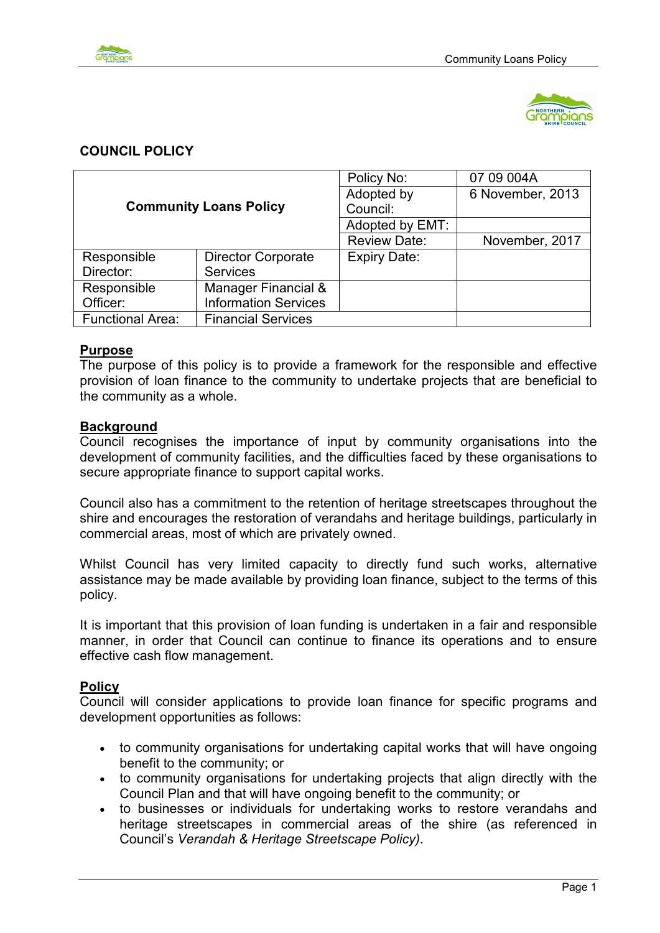



# **COUNCIL POLICY**

| <b>Community Loans Policy</b> |                             | Policy No:          | 07 09 004A       |
|-------------------------------|-----------------------------|---------------------|------------------|
|                               |                             | Adopted by          | 6 November, 2013 |
|                               |                             | Council:            |                  |
|                               |                             | Adopted by EMT:     |                  |
|                               |                             | <b>Review Date:</b> | November, 2017   |
| Responsible                   | <b>Director Corporate</b>   | <b>Expiry Date:</b> |                  |
| Director:                     | <b>Services</b>             |                     |                  |
| Responsible                   | Manager Financial &         |                     |                  |
| Officer:                      | <b>Information Services</b> |                     |                  |
| <b>Functional Area:</b>       | <b>Financial Services</b>   |                     |                  |

## **Purpose**

The purpose of this policy is to provide a framework for the responsible and effective provision of loan finance to the community to undertake projects that are beneficial to the community as a whole.

### **Background**

Council recognises the importance of input by community organisations into the development of community facilities, and the difficulties faced by these organisations to secure appropriate finance to support capital works.

Council also has a commitment to the retention of heritage streetscapes throughout the shire and encourages the restoration of verandahs and heritage buildings, particularly in commercial areas, most of which are privately owned.

Whilst Council has very limited capacity to directly fund such works, alternative assistance may be made available by providing loan finance, subject to the terms of this policy.

It is important that this provision of loan funding is undertaken in a fair and responsible manner, in order that Council can continue to finance its operations and to ensure effective cash flow management.

## **Policy**

Council will consider applications to provide loan finance for specific programs and development opportunities as follows:

- to community organisations for undertaking capital works that will have ongoing benefit to the community; or
- to community organisations for undertaking projects that align directly with the Council Plan and that will have ongoing benefit to the community; or
- to businesses or individuals for undertaking works to restore verandahs and heritage streetscapes in commercial areas of the shire (as referenced in Council's *Verandah & Heritage Streetscape Policy)*.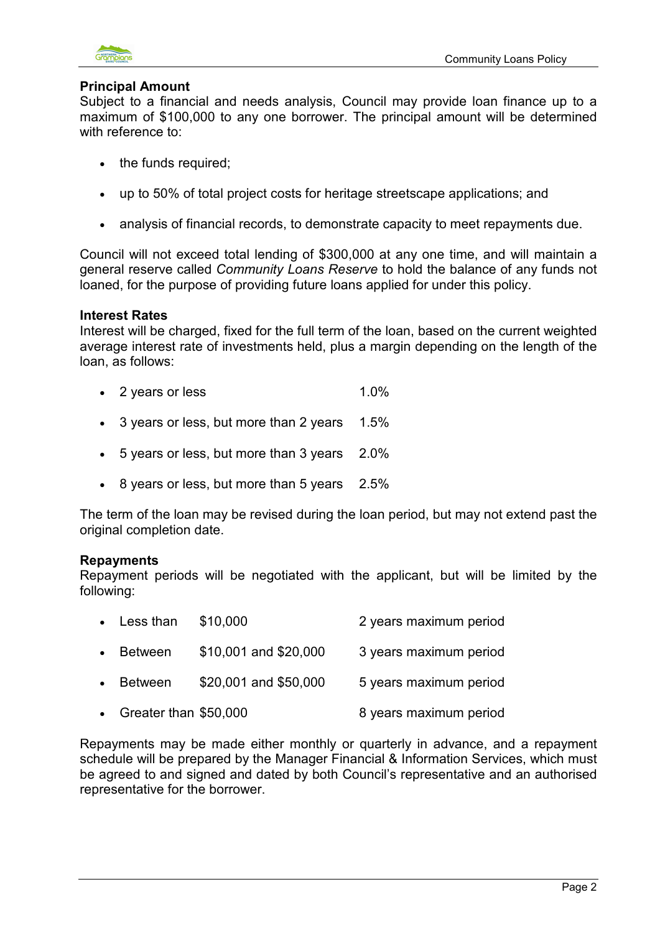

## **Principal Amount**

Subject to a financial and needs analysis, Council may provide loan finance up to a maximum of \$100,000 to any one borrower. The principal amount will be determined with reference to:

- the funds required;
- up to 50% of total project costs for heritage streetscape applications; and
- analysis of financial records, to demonstrate capacity to meet repayments due.

Council will not exceed total lending of \$300,000 at any one time, and will maintain a general reserve called *Community Loans Reserve* to hold the balance of any funds not loaned, for the purpose of providing future loans applied for under this policy.

## **Interest Rates**

Interest will be charged, fixed for the full term of the loan, based on the current weighted average interest rate of investments held, plus a margin depending on the length of the loan, as follows:

- 2 years or less 1.0%
- 3 years or less, but more than 2 years 1.5%
- 5 years or less, but more than 3 years 2.0%
- 8 years or less, but more than 5 years 2.5%

The term of the loan may be revised during the loan period, but may not extend past the original completion date.

## **Repayments**

Repayment periods will be negotiated with the applicant, but will be limited by the following:

|           | $\bullet$ Less than | \$10,000              | 2 years maximum period |
|-----------|---------------------|-----------------------|------------------------|
| $\bullet$ | Between             | \$10,001 and \$20,000 | 3 years maximum period |
|           | <b>Between</b>      | \$20,001 and \$50,000 | 5 years maximum period |

• Greater than \$50,000 8 years maximum period

Repayments may be made either monthly or quarterly in advance, and a repayment schedule will be prepared by the Manager Financial & Information Services, which must be agreed to and signed and dated by both Council's representative and an authorised representative for the borrower.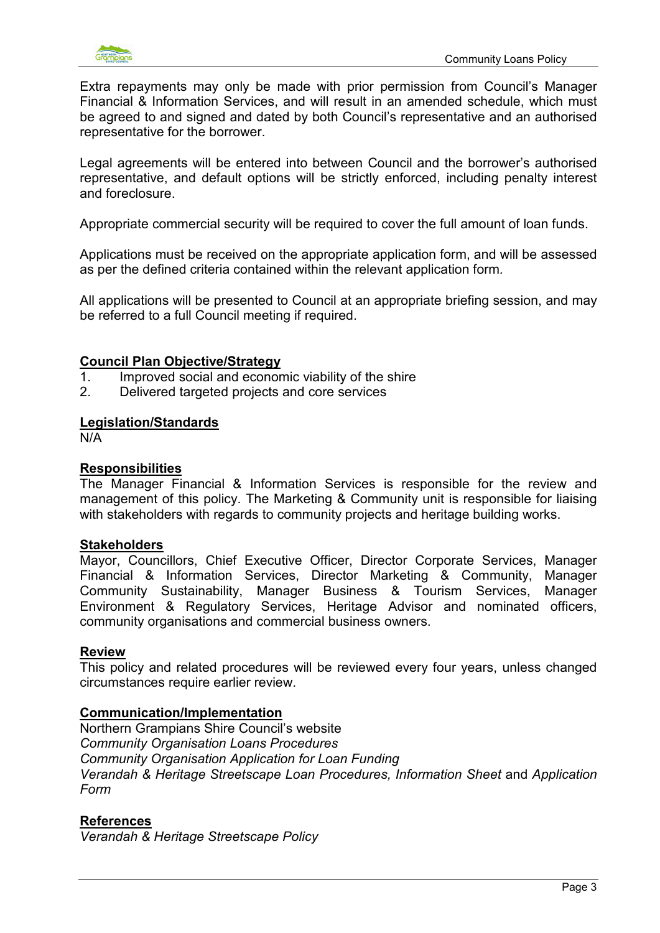

Extra repayments may only be made with prior permission from Council's Manager Financial & Information Services, and will result in an amended schedule, which must be agreed to and signed and dated by both Council's representative and an authorised representative for the borrower.

Legal agreements will be entered into between Council and the borrower's authorised representative, and default options will be strictly enforced, including penalty interest and foreclosure.

Appropriate commercial security will be required to cover the full amount of loan funds.

Applications must be received on the appropriate application form, and will be assessed as per the defined criteria contained within the relevant application form*.*

All applications will be presented to Council at an appropriate briefing session, and may be referred to a full Council meeting if required.

### **Council Plan Objective/Strategy**

- 1. Improved social and economic viability of the shire
- 2. Delivered targeted projects and core services

### **Legislation/Standards**

N/A

#### **Responsibilities**

The Manager Financial & Information Services is responsible for the review and management of this policy. The Marketing & Community unit is responsible for liaising with stakeholders with regards to community projects and heritage building works.

#### **Stakeholders**

Mayor, Councillors, Chief Executive Officer, Director Corporate Services, Manager Financial & Information Services, Director Marketing & Community, Manager Community Sustainability, Manager Business & Tourism Services, Manager Environment & Regulatory Services, Heritage Advisor and nominated officers, community organisations and commercial business owners.

#### **Review**

This policy and related procedures will be reviewed every four years, unless changed circumstances require earlier review.

#### **Communication/Implementation**

Northern Grampians Shire Council's website *Community Organisation Loans Procedures Community Organisation Application for Loan Funding Verandah & Heritage Streetscape Loan Procedures, Information Sheet* and *Application Form* 

## **References**

*Verandah & Heritage Streetscape Policy*